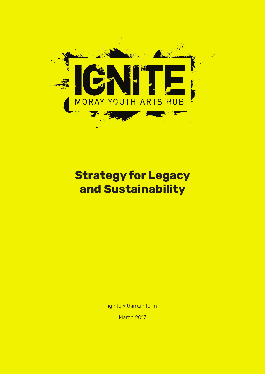

### **Strategy for Legacy and Sustainability**

ignite x think.in.form

March 2017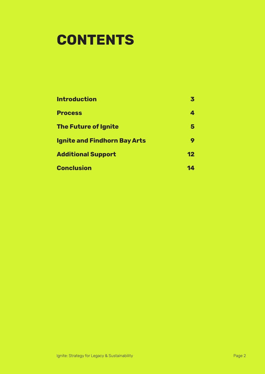### **CONTENTS**

| <b>Introduction</b><br><b>Process</b><br><b>The Future of Ignite</b><br><b>Ignite and Findhorn Bay Arts</b><br><b>Additional Support</b> | 3<br>4<br>5<br>9<br>$\mathbf{12}$ |                   |    |
|------------------------------------------------------------------------------------------------------------------------------------------|-----------------------------------|-------------------|----|
|                                                                                                                                          |                                   | <b>Conclusion</b> | 14 |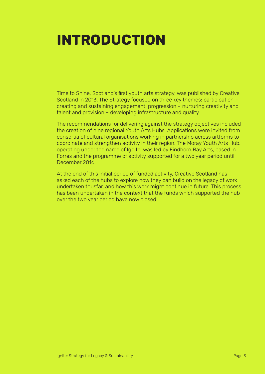## **INTRODUCTION**

Time to Shine, Scotland's first youth arts strategy, was published by Creative Scotland in 2013. The Strategy focused on three key themes: participation – creating and sustaining engagement, progression – nurturing creativity and talent and provision – developing infrastructure and quality.

The recommendations for delivering against the strategy objectives included the creation of nine regional Youth Arts Hubs. Applications were invited from consortia of cultural organisations working in partnership across artforms to coordinate and strengthen activity in their region. The Moray Youth Arts Hub, operating under the name of Ignite, was led by Findhorn Bay Arts, based in Forres and the programme of activity supported for a two year period until December 2016.

At the end of this initial period of funded activity, Creative Scotland has asked each of the hubs to explore how they can build on the legacy of work undertaken thusfar, and how this work might continue in future. This process has been undertaken in the context that the funds which supported the hub over the two year period have now closed.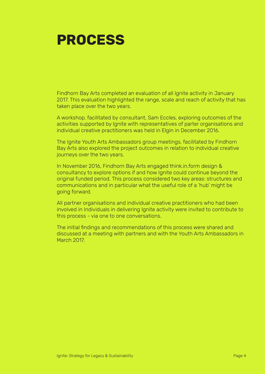

Findhorn Bay Arts completed an evaluation of all Ignite activity in January 2017. This evaluation highlighted the range, scale and reach of activity that has taken place over the two years.

A workshop, facilitated by consultant, Sam Eccles, exploring outcomes of the activities supported by Ignite with representatives of parter organisations and individual creative practitioners was held in Elgin in December 2016.

The Ignite Youth Arts Ambassadors group meetings, facilitated by Findhorn Bay Arts also explored the project outcomes in relation to individual creative journeys over the two years.

In November 2016, Findhorn Bay Arts engaged think.in.form design & consultancy to explore options if and how Ignite could continue beyond the original funded period. This process considered two key areas: structures and communications and in particular what the useful role of a 'hub' might be going forward.

All partner organisations and individual creative practitioners who had been involved in Individuals in delivering Ignite activity were invited to contribute to this process - via one to one conversations.

The initial findings and recommendations of this process were shared and discussed at a meeting with partners and with the Youth Arts Ambassadors in March 2017.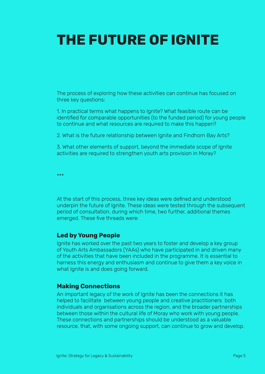# **THE FUTURE OF IGNITE**

The process of exploring how these activities can continue has focused on three key questions:

1. In practical terms what happens to Ignite? What feasible route can be identified for comparable opportunities (to the funded period) for young people to continue and what resources are required to make this happen?

2. What is the future relationship between Ignite and Findhorn Bay Arts?

3. What other elements of support, beyond the immediate scope of Ignite activities are required to strengthen youth arts provision in Moray?

\*\*\*

At the start of this process, three key ideas were defined and understood underpin the future of Ignite. These ideas were tested through the subsequent period of consultation, during which time, two further, additional themes emerged. These five threads were:

### **Led by Young People**

Ignite has worked over the past two years to foster and develop a key group of Youth Arts Ambassadors (YAAs) who have participated in and driven many of the activities that have been included in the programme. It is essential to harness this energy and enthusiasm and continue to give them a key voice in what Ignite is and does going forward.

### **Making Connections**

An important legacy of the work of Ignite has been the connections it has helped to facilitate between young people and creative practitioners both individuals and organisations across the region, and the broader partnerships between those within the cultural life of Moray who work with young people. These connections and partnerships should be understood as a valuable resource, that, with some ongoing support, can continue to grow and develop.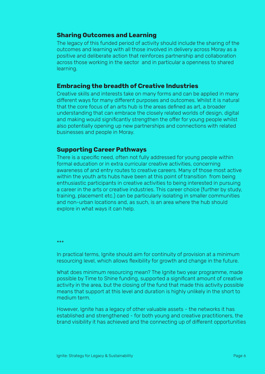### **Sharing Outcomes and Learning**

The legacy of this funded period of activity should include the sharing of the outcomes and learning with all those involved in delivery across Moray as a positive and deliberate action that reinforces partnership and collaboration across those working in the sector and in particular a openness to shared learning.

#### **Embracing the breadth of Creative Industries**

Creative skills and interests take on many forms and can be applied in many different ways for many different purposes and outcomes. Whilst it is natural that the core focus of an arts hub is the areas defined as art, a broader understanding that can embrace the closely related worlds of design, digital and making would significantly strengthen the offer for young people whilst also potentially opening up new partnerships and connections with related businesses and people in Moray.

#### **Supporting Career Pathways**

There is a specific need, often not fully addressed for young people within formal education or in extra curricular creative activities, concerning awareness of and entry routes to creative careers. Many of those most active within the youth arts hubs have been at this point of transition from being enthusiastic participants in creative activities to being interested in pursuing a career in the arts or creative industries. This career choice (further by study, training, placement etc.) can be particularly isolating in smaller communities and non-urban locations and, as such, is an area where the hub should explore in what ways it can help.

\*\*\*

In practical terms, Ignite should aim for continuity of provision at a minimum resourcing level, which allows flexibility for growth and change in the future.

What does minimum resourcing mean? The Ignite two year programme, made possible by Time to Shine funding, supported a significant amount of creative activity in the area, but the closing of the fund that made this activity possible means that support at this level and duration is highly unlikely in the short to medium term.

However, Ignite has a legacy of other valuable assets - the networks it has established and strengthened - for both young and creative practitioners, the brand visibility it has achieved and the connecting up of different opportunities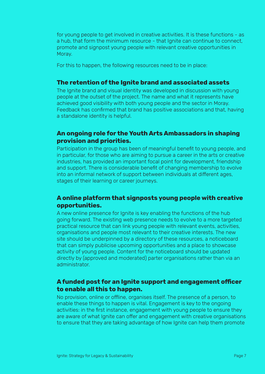for young people to get involved in creative activities. It is these functions - as a hub, that form the minimum resource - that Ignite can continue to connect, promote and signpost young people with relevant creative opportunities in Moray.

For this to happen, the following resources need to be in place:

### **The retention of the Ignite brand and associated assets**

The Ignite brand and visual identity was developed in discussion with young people at the outset of the project. The name and what it represents have achieved good visibility with both young people and the sector in Moray. Feedback has confirmed that brand has positive associations and that, having a standalone identity is helpful.

### **An ongoing role for the Youth Arts Ambassadors in shaping provision and priorities.**

Participation in the group has been of meaningful benefit to young people, and in particular, for those who are aiming to pursue a career in the arts or creative industries, has provided an important focal point for development, friendship and support. There is considerable benefit of changing membership to evolve into an informal network of support between individuals at different ages, stages of their learning or career journeys.

### **A online platform that signposts young people with creative opportunities.**

A new online presence for Ignite is key enabling the functions of the hub going forward. The existing web presence needs to evolve to a more targeted practical resource that can link young people with relevant events, activities, organisations and people most relevant to their creative interests. The new site should be underpinned by a directory of these resources, a noticeboard that can simply publicise upcoming opportunities and a place to showcase activity of young people. Content for the noticeboard should be updated directly by (approved and moderated) parter organisations rather than via an administrator.

### **A funded post for an Ignite support and engagement officer to enable all this to happen.**

No provision, online or offline, organises itself. The presence of a person, to enable these things to happen is vital. Engagement is key to the ongoing activities: in the first instance, engagement with young people to ensure they are aware of what Ignite can offer and engagement with creative organisations to ensure that they are taking advantage of how Ignite can help them promote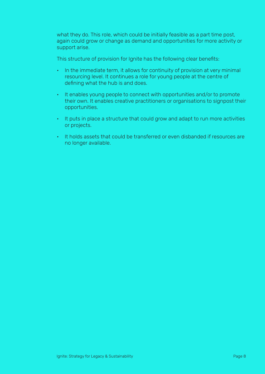what they do. This role, which could be initially feasible as a part time post, again could grow or change as demand and opportunities for more activity or support arise.

This structure of provision for Ignite has the following clear benefits:

- In the immediate term, it allows for continuity of provision at very minimal resourcing level. It continues a role for young people at the centre of defining what the hub is and does.
- It enables young people to connect with opportunities and/or to promote their own. It enables creative practitioners or organisations to signpost their opportunities.
- It puts in place a structure that could grow and adapt to run more activities or projects.
- It holds assets that could be transferred or even disbanded if resources are no longer available.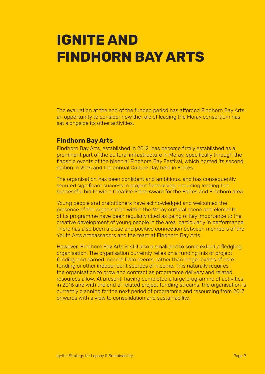### **IGNITE AND FINDHORN BAY ARTS**

The evaluation at the end of the funded period has afforded Findhorn Bay Arts an opportunity to consider how the role of leading the Moray consortium has sat alongside its other activities.

### **Findhorn Bay Arts**

Findhorn Bay Arts, established in 2012, has become firmly established as a prominent part of the cultural infrastructure in Moray, specifically through the flagship events of the biennial Findhorn Bay Festival, which hosted its second edition in 2016 and the annual Culture Day held in Forres.

The organisation has been confident and ambitious, and has consequently secured significant success in project fundraising, including leading the successful bid to win a Creative Place Award for the Forres and Findhorn area.

Young people and practitioners have acknowledged and welcomed the presence of the organisation within the Moray cultural scene and elements of its programme have been regularly cited as being of key importance to the creative development of young people in the area particularly in performance. There has also been a close and positive connection between members of the Youth Arts Ambassadors and the team at Findhorn Bay Arts.

However, Findhorn Bay Arts is still also a small and to some extent a fledgling organisation. The organisation currently relies on a funding mix of project funding and earned income from events, rather than longer cycles of core funding or other independent sources of income. This naturally requires the organisation to grow and contract as programme delivery and related resources allow. At present, having completed a large programme of activities in 2016 and with the end of related project funding streams, the organisation is currently planning for the next period of programme and resourcing from 2017 onwards with a view to consolidation and sustainability.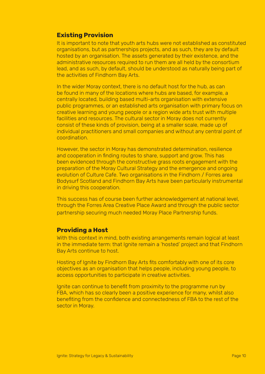### **Existing Provision**

It is important to note that youth arts hubs were not established as constituted organisations, but as partnerships projects, and as such, they are by default hosted by an organisation. The assets generated by their existence, and the administrative resources required to run them are all held by the consortium lead, and as such, by default, should be understood as naturally being part of the activities of Findhorn Bay Arts.

In the wider Moray context, there is no default host for the hub, as can be found in many of the locations where hubs are based, for example, a centrally located, building based multi-arts organisation with extensive public programmes, or an established arts organisation with primary focus on creative learning and young people or a region wide arts trust with multiple facilities and resources. The cultural sector in Moray does not currently consist of these kinds of provision, being at a smaller scale, made up of individual practitioners and small companies and without any central point of coordination.

However, the sector in Moray has demonstrated determination, resilience and cooperation in finding routes to share, support and grow. This has been evidenced through the constructive grass roots engagement with the preparation of the Moray Cultural Strategy and the emergence and ongoing evolution of Culture Cafe. Two organisations in the Findhorn / Forres area Bodysurf Scotland and Findhorn Bay Arts have been particularly instrumental in driving this cooperation.

This success has of course been further acknowledgement at national level, through the Forres Area Creative Place Award and through the public sector partnership securing much needed Moray Place Partnership funds.

### **Providing a Host**

With this context in mind, both existing arrangements remain logical at least in the immediate term: that Ignite remain a 'hosted' project and that Findhorn Bay Arts continue to host.

Hosting of Ignite by Findhorn Bay Arts fits comfortably with one of its core objectives as an organisation that helps people, including young people, to access opportunities to participate in creative activities.

Ignite can continue to benefit from proximity to the programme run by FBA, which has so clearly been a positive experience for many, whilst also benefiting from the confidence and connectedness of FBA to the rest of the sector in Moray.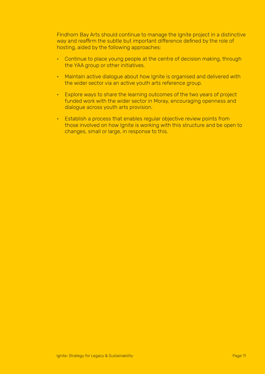Findhorn Bay Arts should continue to manage the Ignite project in a distinctive way and reaffirm the subtle but important difference defined by the role of hosting, aided by the following approaches:

- Continue to place young people at the centre of decision making, through the YAA group or other initiatives.
- Maintain active dialogue about how Ignite is organised and delivered with the wider sector via an active youth arts reference group.
- Explore ways to share the learning outcomes of the two years of project funded work with the wider sector in Moray, encouraging openness and dialogue across youth arts provision.
- Establish a process that enables regular objective review points from those involved on how Ignite is working with this structure and be open to changes, small or large, in response to this.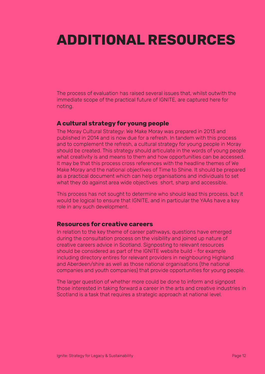### **ADDITIONAL RESOURCES**

The process of evaluation has raised several issues that, whilst outwith the immediate scope of the practical future of IGNITE, are captured here for noting.

### **A cultural strategy for young people**

The Moray Cultural Strategy: We Make Moray was prepared in 2013 and published in 2014 and is now due for a refresh. In tandem with this process and to complement the refresh, a cultural strategy for young people in Moray should be created. This strategy should articulate in the words of young people what creativity is and means to them and how opportunities can be accessed. It may be that this process cross references with the headline themes of We Make Moray and the national objectives of Time to Shine. It should be prepared as a practical document which can help organisations and individuals to set what they do against area wide objectives short, sharp and accessible.

This process has not sought to determine who should lead this process, but it would be logical to ensure that IGNITE, and in particular the YAAs have a key role in any such development.

### **Resources for creative careers**

In relation to the key theme of career pathways, questions have emerged during the consultation process on the visibility and joined up nature of creative careers advice in Scotland. Signposting to relevant resources should be considered as part of the IGNITE website build - for example including directory entires for relevant providers in neighbouring Highland and Aberdeen/shire as well as those national organisations (the national companies and youth companies) that provide opportunities for young people.

The larger question of whether more could be done to inform and signpost those interested in taking forward a career in the arts and creative industries in Scotland is a task that requires a strategic approach at national level.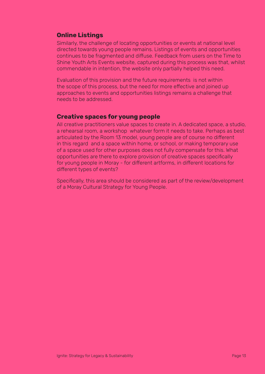### **Online Listings**

Similarly, the challenge of locating opportunities or events at national level directed towards young people remains. Listings of events and opportunities continues to be fragmented and diffuse. Feedback from users on the Time to Shine Youth Arts Events website, captured during this process was that, whilst commendable in intention, the website only partially helped this need.

Evaluation of this provision and the future requirements is not within the scope of this process, but the need for more effective and joined up approaches to events and opportunities listings remains a challenge that needs to be addressed.

#### **Creative spaces for young people**

All creative practitioners value spaces to create in. A dedicated space, a studio, a rehearsal room, a workshop whatever form it needs to take. Perhaps as best articulated by the Room 13 model, young people are of course no different in this regard and a space within home, or school, or making temporary use of a space used for other purposes does not fully compensate for this. What opportunities are there to explore provision of creative spaces specifically for young people in Moray - for different artforms, in different locations for different types of events?

Specifically, this area should be considered as part of the review/development of a Moray Cultural Strategy for Young People.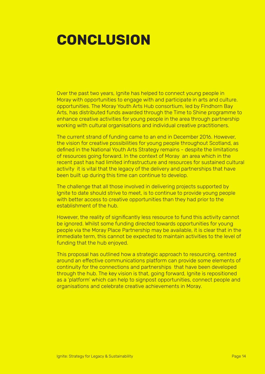### **CONCLUSION**

Over the past two years, Ignite has helped to connect young people in Moray with opportunities to engage with and participate in arts and culture. opportunities. The Moray Youth Arts Hub consortium, led by Findhorn Bay Arts, has distributed funds awarded through the Time to Shine programme to enhance creative activities for young people in the area through partnership working with cultural organisations and individual creative practitioners.

The current strand of funding came to an end in December 2016. However, the vision for creative possibilities for young people throughout Scotland, as defined in the National Youth Arts Strategy remains - despite the limitations of resources going forward. In the context of Moray an area which in the recent past has had limited infrastructure and resources for sustained cultural activity it is vital that the legacy of the delivery and partnerships that have been built up during this time can continue to develop.

The challenge that all those involved in delivering projects supported by Ignite to date should strive to meet, is to continue to provide young people with better access to creative opportunities than they had prior to the establishment of the hub.

However, the reality of significantly less resource to fund this activity cannot be ignored. Whilst some funding directed towards opportunities for young people via the Moray Place Partnership may be available, it is clear that in the immediate term, this cannot be expected to maintain activities to the level of funding that the hub enjoyed.

This proposal has outlined how a strategic approach to resourcing, centred around an effective communications platform can provide some elements of continuity for the connections and partnerships that have been developed through the hub. The key vision is that, going forward, Ignite is repositioned as a 'platform' which can help to signpost opportunities, connect people and organisations and celebrate creative achievements in Moray.